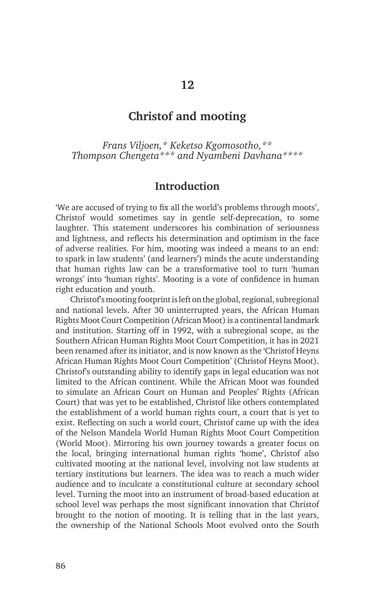## **Christof and mooting**

*Frans Viljoen,\* Keketso Kgomosotho,\*\* Thompson Chengeta\*\*\* and Nyambeni Davhana\*\*\*\**

### **Introduction**

'We are accused of trying to fix all the world's problems through moots', Christof would sometimes say in gentle self-deprecation, to some laughter. This statement underscores his combination of seriousness and lightness, and reflects his determination and optimism in the face of adverse realities. For him, mooting was indeed a means to an end: to spark in law students' (and learners') minds the acute understanding that human rights law can be a transformative tool to turn 'human wrongs' into 'human rights'. Mooting is a vote of confidence in human right education and youth.

Christof's mooting footprint is left on the global, regional, subregional and national levels. After 30 uninterrupted years, the African Human Rights Moot Court Competition (African Moot) is a continental landmark and institution. Starting off in 1992, with a subregional scope, as the Southern African Human Rights Moot Court Competition, it has in 2021 been renamed after its initiator, and is now known as the 'Christof Heyns African Human Rights Moot Court Competition' (Christof Heyns Moot). Christof's outstanding ability to identify gaps in legal education was not limited to the African continent. While the African Moot was founded to simulate an African Court on Human and Peoples' Rights (African Court) that was yet to be established, Christof like others contemplated the establishment of a world human rights court, a court that is yet to exist. Reflecting on such a world court, Christof came up with the idea of the Nelson Mandela World Human Rights Moot Court Competition (World Moot). Mirroring his own journey towards a greater focus on the local, bringing international human rights 'home', Christof also cultivated mooting at the national level, involving not law students at tertiary institutions but learners. The idea was to reach a much wider audience and to inculcate a constitutional culture at secondary school level. Turning the moot into an instrument of broad-based education at school level was perhaps the most significant innovation that Christof brought to the notion of mooting. It is telling that in the last years, the ownership of the National Schools Moot evolved onto the South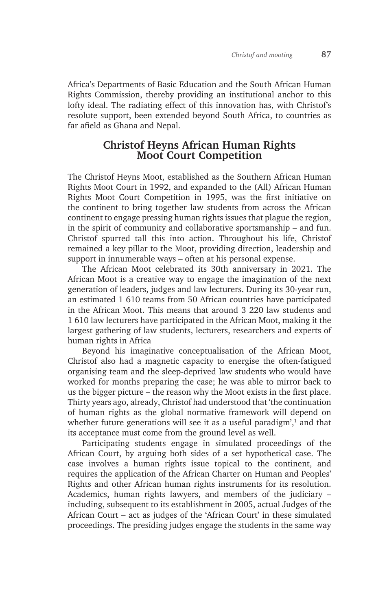Africa's Departments of Basic Education and the South African Human Rights Commission, thereby providing an institutional anchor to this lofty ideal. The radiating effect of this innovation has, with Christof's resolute support, been extended beyond South Africa, to countries as far afield as Ghana and Nepal.

# **Christof Heyns African Human Rights Moot Court Competition**

The Christof Heyns Moot, established as the Southern African Human Rights Moot Court in 1992, and expanded to the (All) African Human Rights Moot Court Competition in 1995, was the first initiative on the continent to bring together law students from across the African continent to engage pressing human rights issues that plague the region, in the spirit of community and collaborative sportsmanship – and fun. Christof spurred tall this into action. Throughout his life, Christof remained a key pillar to the Moot, providing direction, leadership and support in innumerable ways – often at his personal expense.

The African Moot celebrated its 30th anniversary in 2021. The African Moot is a creative way to engage the imagination of the next generation of leaders, judges and law lecturers. During its 30-year run, an estimated 1 610 teams from 50 African countries have participated in the African Moot. This means that around 3 220 law students and 1 610 law lecturers have participated in the African Moot, making it the largest gathering of law students, lecturers, researchers and experts of human rights in Africa

Beyond his imaginative conceptualisation of the African Moot, Christof also had a magnetic capacity to energise the often-fatigued organising team and the sleep-deprived law students who would have worked for months preparing the case; he was able to mirror back to us the bigger picture – the reason why the Moot exists in the first place. Thirty years ago, already, Christof had understood that 'the continuation of human rights as the global normative framework will depend on whether future generations will see it as a useful paradigm',<sup>1</sup> and that its acceptance must come from the ground level as well.

Participating students engage in simulated proceedings of the African Court, by arguing both sides of a set hypothetical case. The case involves a human rights issue topical to the continent, and requires the application of the African Charter on Human and Peoples' Rights and other African human rights instruments for its resolution. Academics, human rights lawyers, and members of the judiciary – including, subsequent to its establishment in 2005, actual Judges of the African Court – act as judges of the 'African Court' in these simulated proceedings. The presiding judges engage the students in the same way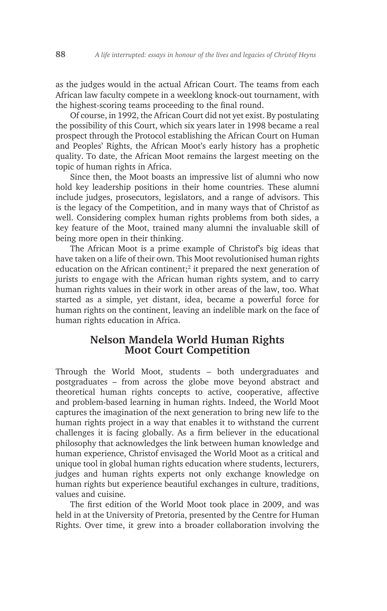as the judges would in the actual African Court. The teams from each African law faculty compete in a weeklong knock-out tournament, with the highest-scoring teams proceeding to the final round.

Of course, in 1992, the African Court did not yet exist. By postulating the possibility of this Court, which six years later in 1998 became a real prospect through the Protocol establishing the African Court on Human and Peoples' Rights, the African Moot's early history has a prophetic quality. To date, the African Moot remains the largest meeting on the topic of human rights in Africa.

Since then, the Moot boasts an impressive list of alumni who now hold key leadership positions in their home countries. These alumni include judges, prosecutors, legislators, and a range of advisors. This is the legacy of the Competition, and in many ways that of Christof as well. Considering complex human rights problems from both sides, a key feature of the Moot, trained many alumni the invaluable skill of being more open in their thinking.

The African Moot is a prime example of Christof's big ideas that have taken on a life of their own. This Moot revolutionised human rights education on the African continent;<sup>2</sup> it prepared the next generation of jurists to engage with the African human rights system, and to carry human rights values in their work in other areas of the law, too. What started as a simple, yet distant, idea, became a powerful force for human rights on the continent, leaving an indelible mark on the face of human rights education in Africa.

# **Nelson Mandela World Human Rights Moot Court Competition**

Through the World Moot, students – both undergraduates and postgraduates – from across the globe move beyond abstract and theoretical human rights concepts to active, cooperative, affective and problem-based learning in human rights. Indeed, the World Moot captures the imagination of the next generation to bring new life to the human rights project in a way that enables it to withstand the current challenges it is facing globally. As a firm believer in the educational philosophy that acknowledges the link between human knowledge and human experience, Christof envisaged the World Moot as a critical and unique tool in global human rights education where students, lecturers, judges and human rights experts not only exchange knowledge on human rights but experience beautiful exchanges in culture, traditions, values and cuisine.

The first edition of the World Moot took place in 2009, and was held in at the University of Pretoria, presented by the Centre for Human Rights. Over time, it grew into a broader collaboration involving the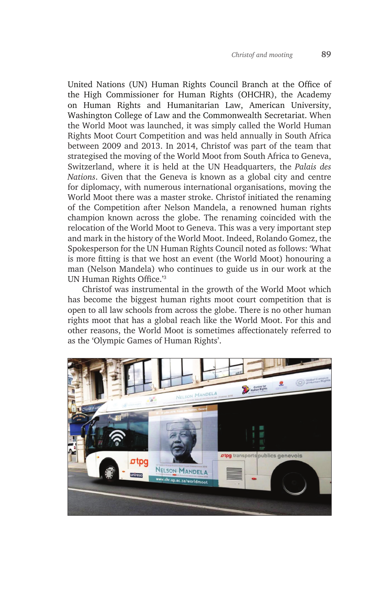United Nations (UN) Human Rights Council Branch at the Office of the High Commissioner for Human Rights (OHCHR), the Academy on Human Rights and Humanitarian Law, American University, Washington College of Law and the Commonwealth Secretariat. When the World Moot was launched, it was simply called the World Human Rights Moot Court Competition and was held annually in South Africa between 2009 and 2013. In 2014, Christof was part of the team that strategised the moving of the World Moot from South Africa to Geneva, Switzerland, where it is held at the UN Headquarters, the *Palais des Nations*. Given that the Geneva is known as a global city and centre for diplomacy, with numerous international organisations, moving the World Moot there was a master stroke. Christof initiated the renaming of the Competition after Nelson Mandela, a renowned human rights champion known across the globe. The renaming coincided with the relocation of the World Moot to Geneva. This was a very important step and mark in the history of the World Moot. Indeed, Rolando Gomez, the Spokesperson for the UN Human Rights Council noted as follows: 'What is more fitting is that we host an event (the World Moot) honouring a man (Nelson Mandela) who continues to guide us in our work at the UN Human Rights Office.'3

Christof was instrumental in the growth of the World Moot which has become the biggest human rights moot court competition that is open to all law schools from across the globe. There is no other human rights moot that has a global reach like the World Moot. For this and other reasons, the World Moot is sometimes affectionately referred to as the 'Olympic Games of Human Rights'.

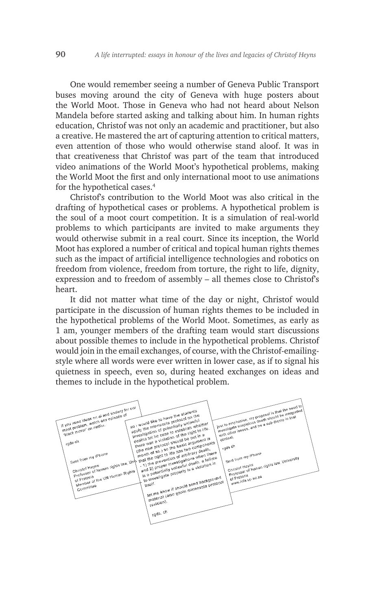One would remember seeing a number of Geneva Public Transport buses moving around the city of Geneva with huge posters about the World Moot. Those in Geneva who had not heard about Nelson Mandela before started asking and talking about him. In human rights education, Christof was not only an academic and practitioner, but also a creative. He mastered the art of capturing attention to critical matters, even attention of those who would otherwise stand aloof. It was in that creativeness that Christof was part of the team that introduced video animations of the World Moot's hypothetical problems, making the World Moot the first and only international moot to use animations for the hypothetical cases.4

Christof's contribution to the World Moot was also critical in the drafting of hypothetical cases or problems. A hypothetical problem is the soul of a moot court competition. It is a simulation of real-world problems to which participants are invited to make arguments they would otherwise submit in a real court. Since its inception, the World Moot has explored a number of critical and topical human rights themes such as the impact of artificial intelligence technologies and robotics on freedom from violence, freedom from torture, the right to life, dignity, expression and to freedom of assembly – all themes close to Christof's heart.

It did not matter what time of the day or night, Christof would participate in the discussion of human rights themes to be included in the hypothetical problems of the World Moot. Sometimes, as early as 1 am, younger members of the drafting team would start discussions about possible themes to include in the hypothetical problems. Christof would join in the email exchanges, of course, with the Christof-emailingstyle where all words were ever written in lower case, as if to signal his quietness in speech, even so, during heated exchanges on ideas and themes to include in the hypothetical problem.

![](_page_4_Figure_4.jpeg)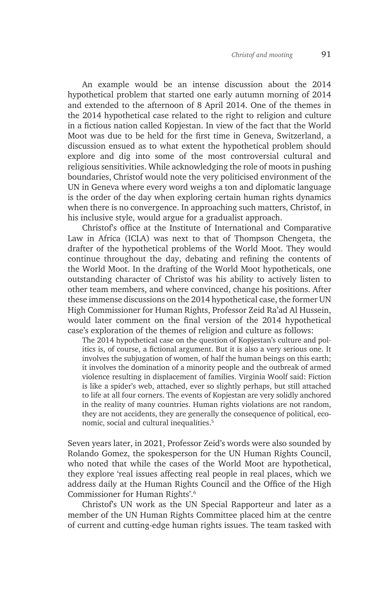An example would be an intense discussion about the 2014 hypothetical problem that started one early autumn morning of 2014 and extended to the afternoon of 8 April 2014. One of the themes in the 2014 hypothetical case related to the right to religion and culture in a fictious nation called Kopjestan. In view of the fact that the World Moot was due to be held for the first time in Geneva, Switzerland, a discussion ensued as to what extent the hypothetical problem should explore and dig into some of the most controversial cultural and religious sensitivities. While acknowledging the role of moots in pushing boundaries, Christof would note the very politicised environment of the UN in Geneva where every word weighs a ton and diplomatic language is the order of the day when exploring certain human rights dynamics when there is no convergence. In approaching such matters, Christof, in his inclusive style, would argue for a gradualist approach.

Christof's office at the Institute of International and Comparative Law in Africa (ICLA) was next to that of Thompson Chengeta, the drafter of the hypothetical problems of the World Moot. They would continue throughout the day, debating and refining the contents of the World Moot. In the drafting of the World Moot hypotheticals, one outstanding character of Christof was his ability to actively listen to other team members, and where convinced, change his positions. After these immense discussions on the 2014 hypothetical case, the former UN High Commissioner for Human Rights, Professor Zeid Ra'ad Al Hussein, would later comment on the final version of the 2014 hypothetical case's exploration of the themes of religion and culture as follows:

The 2014 hypothetical case on the question of Kopjestan's culture and politics is, of course, a fictional argument. But it is also a very serious one. It involves the subjugation of women, of half the human beings on this earth; it involves the domination of a minority people and the outbreak of armed violence resulting in displacement of families. Virginia Woolf said: Fiction is like a spider's web, attached, ever so slightly perhaps, but still attached to life at all four corners. The events of Kopjestan are very solidly anchored in the reality of many countries. Human rights violations are not random, they are not accidents, they are generally the consequence of political, economic, social and cultural inequalities.5

Seven years later, in 2021, Professor Zeid's words were also sounded by Rolando Gomez, the spokesperson for the UN Human Rights Council, who noted that while the cases of the World Moot are hypothetical, they explore 'real issues affecting real people in real places, which we address daily at the Human Rights Council and the Office of the High Commissioner for Human Rights'.6

Christof's UN work as the UN Special Rapporteur and later as a member of the UN Human Rights Committee placed him at the centre of current and cutting-edge human rights issues. The team tasked with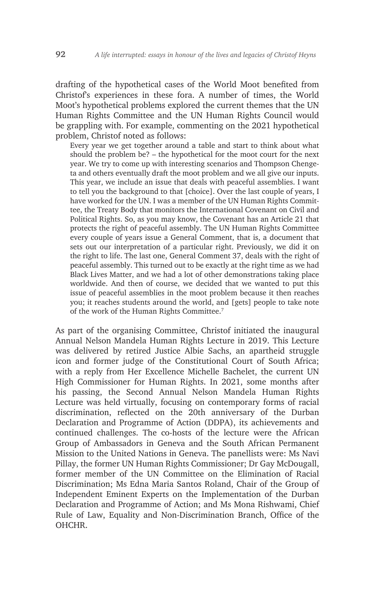drafting of the hypothetical cases of the World Moot benefited from Christof's experiences in these fora. A number of times, the World Moot's hypothetical problems explored the current themes that the UN Human Rights Committee and the UN Human Rights Council would be grappling with. For example, commenting on the 2021 hypothetical problem, Christof noted as follows:

Every year we get together around a table and start to think about what should the problem be? – the hypothetical for the moot court for the next year. We try to come up with interesting scenarios and Thompson Chengeta and others eventually draft the moot problem and we all give our inputs. This year, we include an issue that deals with peaceful assemblies. I want to tell you the background to that [choice]. Over the last couple of years, I have worked for the UN. I was a member of the UN Human Rights Committee, the Treaty Body that monitors the International Covenant on Civil and Political Rights. So, as you may know, the Covenant has an Article 21 that protects the right of peaceful assembly. The UN Human Rights Committee every couple of years issue a General Comment, that is, a document that sets out our interpretation of a particular right. Previously, we did it on the right to life. The last one, General Comment 37, deals with the right of peaceful assembly. This turned out to be exactly at the right time as we had Black Lives Matter, and we had a lot of other demonstrations taking place worldwide. And then of course, we decided that we wanted to put this issue of peaceful assemblies in the moot problem because it then reaches you; it reaches students around the world, and [gets] people to take note of the work of the Human Rights Committee.7

As part of the organising Committee, Christof initiated the inaugural Annual Nelson Mandela Human Rights Lecture in 2019. This Lecture was delivered by retired Justice Albie Sachs, an apartheid struggle icon and former judge of the Constitutional Court of South Africa; with a reply from Her Excellence Michelle Bachelet, the current UN High Commissioner for Human Rights. In 2021, some months after his passing, the Second Annual Nelson Mandela Human Rights Lecture was held virtually, focusing on contemporary forms of racial discrimination, reflected on the 20th anniversary of the Durban Declaration and Programme of Action (DDPA), its achievements and continued challenges. The co-hosts of the lecture were the African Group of Ambassadors in Geneva and the South African Permanent Mission to the United Nations in Geneva. The panellists were: Ms Navi Pillay, the former UN Human Rights Commissioner; Dr Gay McDougall, former member of the UN Committee on the Elimination of Racial Discrimination; Ms Edna Maria Santos Roland, Chair of the Group of Independent Eminent Experts on the Implementation of the Durban Declaration and Programme of Action; and Ms Mona Rishwami, Chief Rule of Law, Equality and Non-Discrimination Branch, Office of the OHCHR.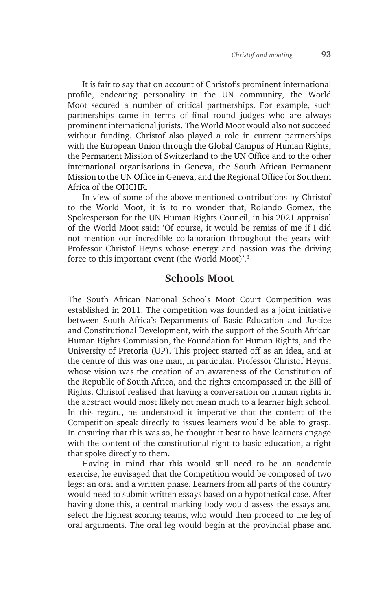It is fair to say that on account of Christof's prominent international profile, endearing personality in the UN community, the World Moot secured a number of critical partnerships. For example, such partnerships came in terms of final round judges who are always prominent international jurists. The World Moot would also not succeed without funding. Christof also played a role in current partnerships with the European Union through the Global Campus of Human Rights, the Permanent Mission of Switzerland to the UN Office and to the other international organisations in Geneva, the South African Permanent Mission to the UN Office in Geneva, and the Regional Office for Southern Africa of the OHCHR.

In view of some of the above-mentioned contributions by Christof to the World Moot, it is to no wonder that, Rolando Gomez, the Spokesperson for the UN Human Rights Council, in his 2021 appraisal of the World Moot said: 'Of course, it would be remiss of me if I did not mention our incredible collaboration throughout the years with Professor Christof Heyns whose energy and passion was the driving force to this important event (the World Moot)'.8

### **Schools Moot**

The South African National Schools Moot Court Competition was established in 2011. The competition was founded as a joint initiative between South Africa's Departments of Basic Education and Justice and Constitutional Development, with the support of the South African Human Rights Commission, the Foundation for Human Rights, and the University of Pretoria (UP). This project started off as an idea, and at the centre of this was one man, in particular, Professor Christof Heyns, whose vision was the creation of an awareness of the Constitution of the Republic of South Africa, and the rights encompassed in the Bill of Rights. Christof realised that having a conversation on human rights in the abstract would most likely not mean much to a learner high school. In this regard, he understood it imperative that the content of the Competition speak directly to issues learners would be able to grasp. In ensuring that this was so, he thought it best to have learners engage with the content of the constitutional right to basic education, a right that spoke directly to them.

Having in mind that this would still need to be an academic exercise, he envisaged that the Competition would be composed of two legs: an oral and a written phase. Learners from all parts of the country would need to submit written essays based on a hypothetical case. After having done this, a central marking body would assess the essays and select the highest scoring teams, who would then proceed to the leg of oral arguments. The oral leg would begin at the provincial phase and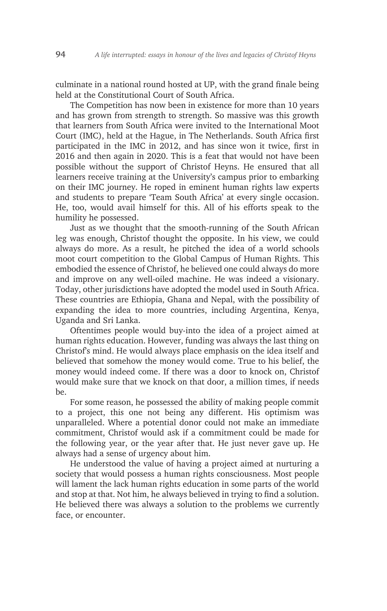culminate in a national round hosted at UP, with the grand finale being held at the Constitutional Court of South Africa.

The Competition has now been in existence for more than 10 years and has grown from strength to strength. So massive was this growth that learners from South Africa were invited to the International Moot Court (IMC), held at the Hague, in The Netherlands. South Africa first participated in the IMC in 2012, and has since won it twice, first in 2016 and then again in 2020. This is a feat that would not have been possible without the support of Christof Heyns. He ensured that all learners receive training at the University's campus prior to embarking on their IMC journey. He roped in eminent human rights law experts and students to prepare 'Team South Africa' at every single occasion. He, too, would avail himself for this. All of his efforts speak to the humility he possessed.

Just as we thought that the smooth-running of the South African leg was enough, Christof thought the opposite. In his view, we could always do more. As a result, he pitched the idea of a world schools moot court competition to the Global Campus of Human Rights. This embodied the essence of Christof, he believed one could always do more and improve on any well-oiled machine. He was indeed a visionary. Today, other jurisdictions have adopted the model used in South Africa. These countries are Ethiopia, Ghana and Nepal, with the possibility of expanding the idea to more countries, including Argentina, Kenya, Uganda and Sri Lanka.

Oftentimes people would buy-into the idea of a project aimed at human rights education. However, funding was always the last thing on Christof's mind. He would always place emphasis on the idea itself and believed that somehow the money would come. True to his belief, the money would indeed come. If there was a door to knock on, Christof would make sure that we knock on that door, a million times, if needs  $he$ 

For some reason, he possessed the ability of making people commit to a project, this one not being any different. His optimism was unparalleled. Where a potential donor could not make an immediate commitment, Christof would ask if a commitment could be made for the following year, or the year after that. He just never gave up. He always had a sense of urgency about him.

He understood the value of having a project aimed at nurturing a society that would possess a human rights consciousness. Most people will lament the lack human rights education in some parts of the world and stop at that. Not him, he always believed in trying to find a solution. He believed there was always a solution to the problems we currently face, or encounter.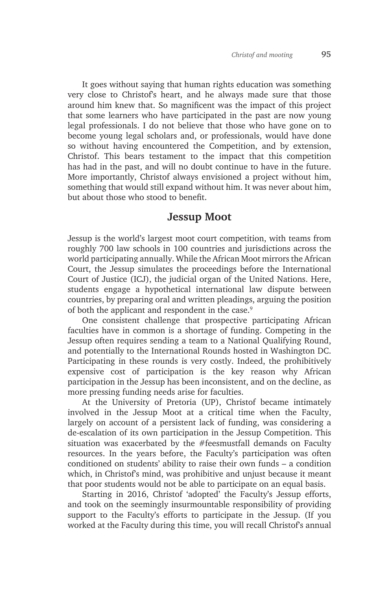It goes without saying that human rights education was something very close to Christof's heart, and he always made sure that those around him knew that. So magnificent was the impact of this project that some learners who have participated in the past are now young legal professionals. I do not believe that those who have gone on to become young legal scholars and, or professionals, would have done so without having encountered the Competition, and by extension, Christof. This bears testament to the impact that this competition has had in the past, and will no doubt continue to have in the future. More importantly, Christof always envisioned a project without him, something that would still expand without him. It was never about him, but about those who stood to benefit.

## **Jessup Moot**

Jessup is the world's largest moot court competition, with teams from roughly 700 law schools in 100 countries and jurisdictions across the world participating annually. While the African Moot mirrors the African Court, the Jessup simulates the proceedings before the International Court of Justice (ICJ), the judicial organ of the United Nations. Here, students engage a hypothetical international law dispute between countries, by preparing oral and written pleadings, arguing the position of both the applicant and respondent in the case.<sup>9</sup>

One consistent challenge that prospective participating African faculties have in common is a shortage of funding. Competing in the Jessup often requires sending a team to a National Qualifying Round, and potentially to the International Rounds hosted in Washington DC. Participating in these rounds is very costly. Indeed, the prohibitively expensive cost of participation is the key reason why African participation in the Jessup has been inconsistent, and on the decline, as more pressing funding needs arise for faculties.

At the University of Pretoria (UP), Christof became intimately involved in the Jessup Moot at a critical time when the Faculty, largely on account of a persistent lack of funding, was considering a de-escalation of its own participation in the Jessup Competition. This situation was exacerbated by the #feesmustfall demands on Faculty resources. In the years before, the Faculty's participation was often conditioned on students' ability to raise their own funds – a condition which, in Christof's mind, was prohibitive and unjust because it meant that poor students would not be able to participate on an equal basis.

Starting in 2016, Christof 'adopted' the Faculty's Jessup efforts, and took on the seemingly insurmountable responsibility of providing support to the Faculty's efforts to participate in the Jessup. (If you worked at the Faculty during this time, you will recall Christof's annual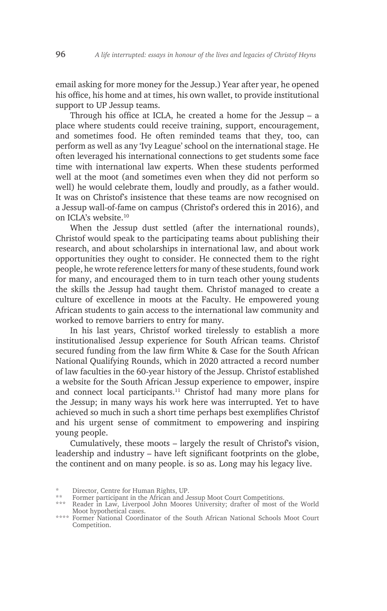email asking for more money for the Jessup.) Year after year, he opened his office, his home and at times, his own wallet, to provide institutional support to UP Jessup teams.

Through his office at ICLA, he created a home for the Jessup – a place where students could receive training, support, encouragement, and sometimes food. He often reminded teams that they, too, can perform as well as any 'Ivy League' school on the international stage. He often leveraged his international connections to get students some face time with international law experts. When these students performed well at the moot (and sometimes even when they did not perform so well) he would celebrate them, loudly and proudly, as a father would. It was on Christof's insistence that these teams are now recognised on a Jessup wall-of-fame on campus (Christof's ordered this in 2016), and on ICLA's website.10

When the Jessup dust settled (after the international rounds), Christof would speak to the participating teams about publishing their research, and about scholarships in international law, and about work opportunities they ought to consider. He connected them to the right people, he wrote reference letters for many of these students, found work for many, and encouraged them to in turn teach other young students the skills the Jessup had taught them. Christof managed to create a culture of excellence in moots at the Faculty. He empowered young African students to gain access to the international law community and worked to remove barriers to entry for many.

In his last years, Christof worked tirelessly to establish a more institutionalised Jessup experience for South African teams. Christof secured funding from the law firm White & Case for the South African National Qualifying Rounds, which in 2020 attracted a record number of law faculties in the 60-year history of the Jessup. Christof established a website for the South African Jessup experience to empower, inspire and connect local participants.<sup>11</sup> Christof had many more plans for the Jessup; in many ways his work here was interrupted. Yet to have achieved so much in such a short time perhaps best exemplifies Christof and his urgent sense of commitment to empowering and inspiring young people.

Cumulatively, these moots – largely the result of Christof's vision, leadership and industry – have left significant footprints on the globe, the continent and on many people. is so as. Long may his legacy live.

<sup>\*</sup> Director, Centre for Human Rights, UP.

Former participant in the African and Jessup Moot Court Competitions.

<sup>\*\*\*</sup> Reader in Law, Liverpool John Moores University; drafter of most of the World Moot hypothetical cases.

<sup>\*\*\*\*</sup> Former National Coordinator of the South African National Schools Moot Court Competition.